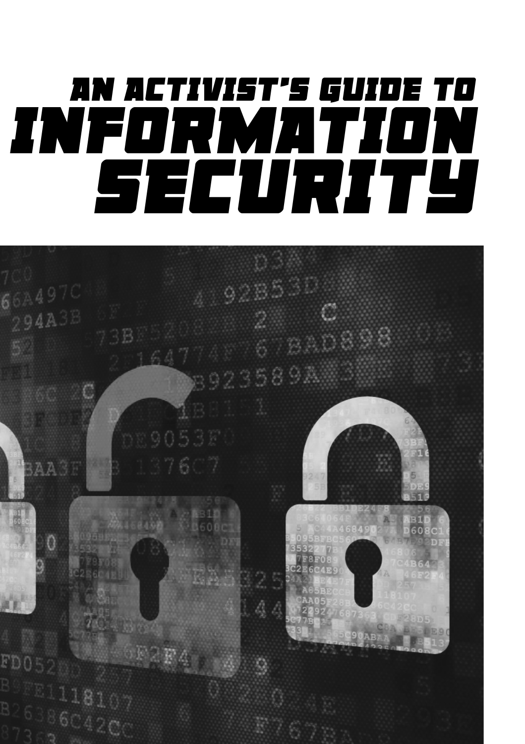# *AN ACTIVIST'S GUIDE TO INFORMATION SECURITY*

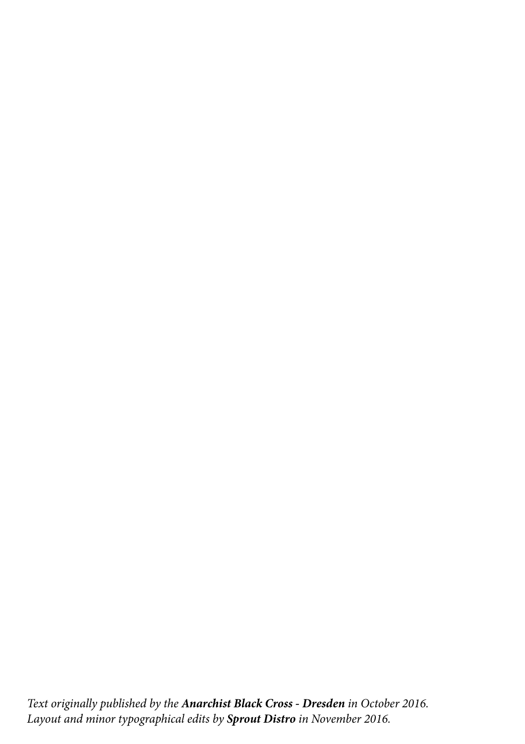Text originally published by the **Anarchist Black Cross - Dresden** in October 2016. Layout and minor typographical edits by **Sprout Distro** in November 2016.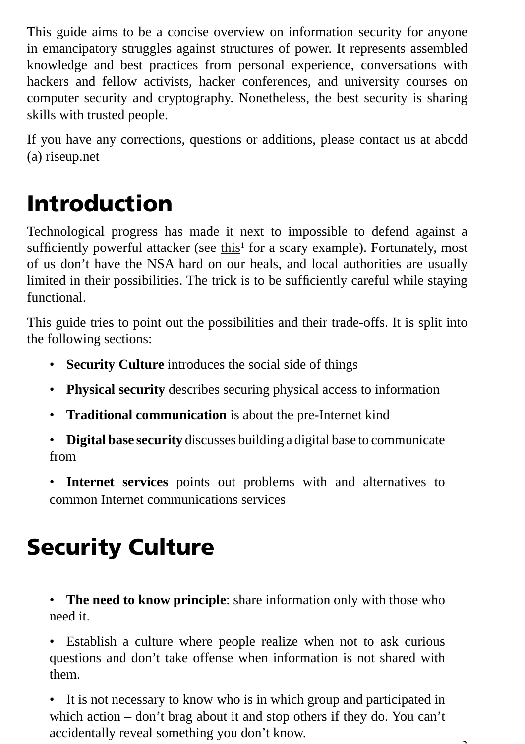This guide aims to be a concise overview on information security for anyone in emancipatory struggles against structures of power. It represents assembled knowledge and best practices from personal experience, conversations with hackers and fellow activists, hacker conferences, and university courses on computer security and cryptography. Nonetheless, the best security is sharing skills with trusted people.

If you have any corrections, questions or additions, please contact us at abcdd (a) riseup.net

# Introduction

Technological progress has made it next to impossible to defend against a sufficiently powerful attacker (see this<sup>1</sup> for a scary example). Fortunately, most of us don't have the NSA hard on our heals, and local authorities are usually limited in their possibilities. The trick is to be sufficiently careful while staying functional.

This guide tries to point out the possibilities and their trade-offs. It is split into the following sections:

- **Security Culture** introduces the social side of things
- **Physical security** describes securing physical access to information
- **Traditional communication** is about the pre-Internet kind
- **Digital base security** discusses building a digital base to communicate from
- **Internet services** points out problems with and alternatives to common Internet communications services

# Security Culture

• **The need to know principle**: share information only with those who need it.

• Establish a culture where people realize when not to ask curious questions and don't take offense when information is not shared with them.

• It is not necessary to know who is in which group and participated in which action – don't brag about it and stop others if they do. You can't accidentally reveal something you don't know.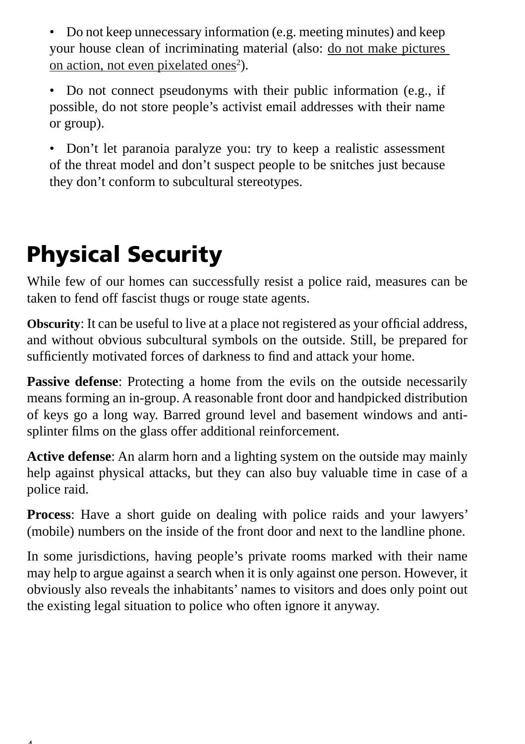• Do not keep unnecessary information (e.g. meeting minutes) and keep your house clean of incriminating material (also: do not make pictures on action, not even pixelated ones<sup>2</sup>).

• Do not connect pseudonyms with their public information (e.g., if possible, do not store people's activist email addresses with their name or group).

• Don't let paranoia paralyze you: try to keep a realistic assessment of the threat model and don't suspect people to be snitches just because they don't conform to subcultural stereotypes.

# Physical Security

While few of our homes can successfully resist a police raid, measures can be taken to fend off fascist thugs or rouge state agents.

**Obscurity:** It can be useful to live at a place not registered as your official address, and without obvious subcultural symbols on the outside. Still, be prepared for sufficiently motivated forces of darkness to find and attack your home.

**Passive defense**: Protecting a home from the evils on the outside necessarily means forming an in-group. A reasonable front door and handpicked distribution of keys go a long way. Barred ground level and basement windows and antisplinter films on the glass offer additional reinforcement.

**Active defense**: An alarm horn and a lighting system on the outside may mainly help against physical attacks, but they can also buy valuable time in case of a police raid.

**Process**: Have a short guide on dealing with police raids and your lawyers' (mobile) numbers on the inside of the front door and next to the landline phone.

In some jurisdictions, having people's private rooms marked with their name may help to argue against a search when it is only against one person. However, it obviously also reveals the inhabitants' names to visitors and does only point out the existing legal situation to police who often ignore it anyway.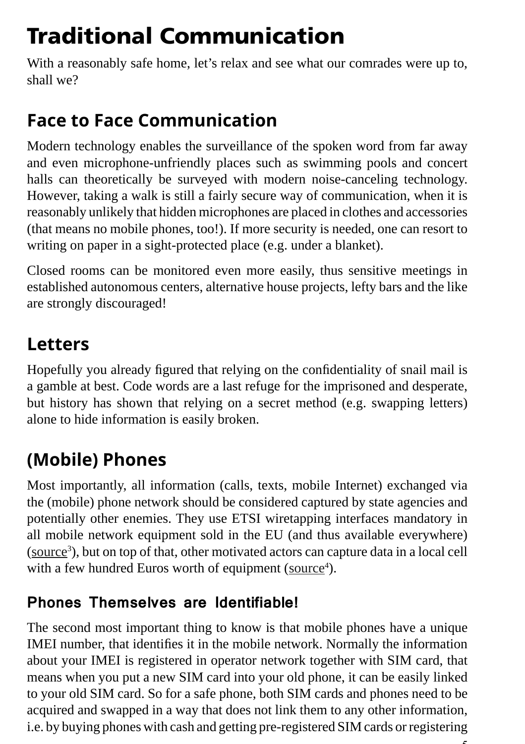# Traditional Communication

With a reasonably safe home, let's relax and see what our comrades were up to, shall we?

### **Face to Face Communication**

Modern technology enables the surveillance of the spoken word from far away and even microphone-unfriendly places such as swimming pools and concert halls can theoretically be surveyed with modern noise-canceling technology. However, taking a walk is still a fairly secure way of communication, when it is reasonably unlikely that hidden microphones are placed in clothes and accessories (that means no mobile phones, too!). If more security is needed, one can resort to writing on paper in a sight-protected place (e.g. under a blanket).

Closed rooms can be monitored even more easily, thus sensitive meetings in established autonomous centers, alternative house projects, lefty bars and the like are strongly discouraged!

### **Letters**

Hopefully you already figured that relying on the confidentiality of snail mail is a gamble at best. Code words are a last refuge for the imprisoned and desperate, but history has shown that relying on a secret method (e.g. swapping letters) alone to hide information is easily broken.

# **(Mobile) Phones**

Most importantly, all information (calls, texts, mobile Internet) exchanged via the (mobile) phone network should be considered captured by state agencies and potentially other enemies. They use ETSI wiretapping interfaces mandatory in all mobile network equipment sold in the EU (and thus available everywhere) (source<sup>3</sup>), but on top of that, other motivated actors can capture data in a local cell with a few hundred Euros worth of equipment (source<sup>4</sup>).

#### **Phones Themselves are Identifiable!**

The second most important thing to know is that mobile phones have a unique IMEI number, that identifies it in the mobile network. Normally the information about your IMEI is registered in operator network together with SIM card, that means when you put a new SIM card into your old phone, it can be easily linked to your old SIM card. So for a safe phone, both SIM cards and phones need to be acquired and swapped in a way that does not link them to any other information, i.e. by buying phones with cash and getting pre-registered SIM cards or registering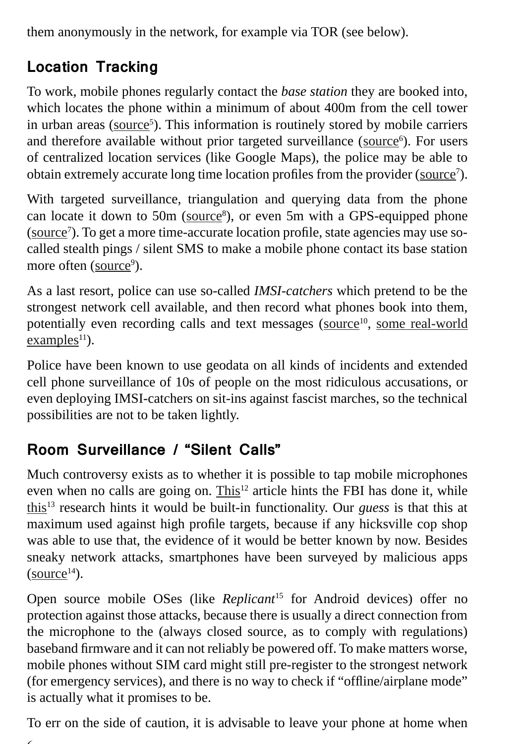them anonymously in the network, for example via TOR (see below).

### **Location Tracking**

To work, mobile phones regularly contact the *base station* they are booked into, which locates the phone within a minimum of about 400m from the cell tower in urban areas (source<sup>5</sup>). This information is routinely stored by mobile carriers and therefore available without prior targeted surveillance (source<sup>6</sup>). For users of centralized location services (like Google Maps), the police may be able to obtain extremely accurate long time location profiles from the provider (source<sup>7</sup>).

With targeted surveillance, triangulation and querying data from the phone can locate it down to  $50m$  ( $source<sup>8</sup>$ ), or even  $5m$  with a GPS-equipped phone (source<sup>7</sup>). To get a more time-accurate location profile, state agencies may use socalled stealth pings / silent SMS to make a mobile phone contact its base station more often (source<sup>9</sup>).

As a last resort, police can use so-called *IMSI-catchers* which pretend to be the strongest network cell available, and then record what phones book into them, potentially even recording calls and text messages (source<sup>10</sup>, some real-world  $examples<sup>11</sup>$ ).

Police have been known to use geodata on all kinds of incidents and extended cell phone surveillance of 10s of people on the most ridiculous accusations, or even deploying IMSI-catchers on sit-ins against fascist marches, so the technical possibilities are not to be taken lightly.

#### **Room Surveillance / "Silent Calls"**

Much controversy exists as to whether it is possible to tap mobile microphones even when no calls are going on. This<sup>12</sup> article hints the FBI has done it, while this13 research hints it would be built-in functionality. Our *guess* is that this at maximum used against high profile targets, because if any hicksville cop shop was able to use that, the evidence of it would be better known by now. Besides sneaky network attacks, smartphones have been surveyed by malicious apps  $(source<sup>14</sup>)$ .

Open source mobile OSes (like *Replicant<sup>15</sup>* for Android devices) offer no protection against those attacks, because there is usually a direct connection from the microphone to the (always closed source, as to comply with regulations) baseband firmware and it can not reliably be powered off. To make matters worse, mobile phones without SIM card might still pre-register to the strongest network (for emergency services), and there is no way to check if "offline/airplane mode" is actually what it promises to be.

To err on the side of caution, it is advisable to leave your phone at home when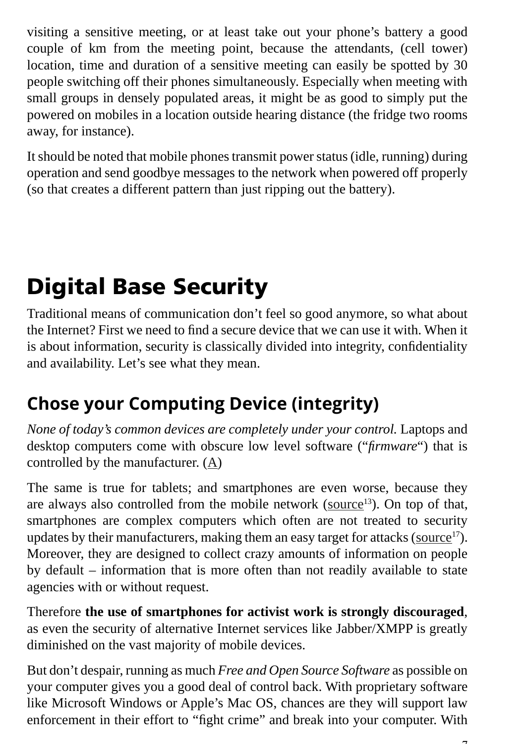visiting a sensitive meeting, or at least take out your phone's battery a good couple of km from the meeting point, because the attendants, (cell tower) location, time and duration of a sensitive meeting can easily be spotted by 30 people switching off their phones simultaneously. Especially when meeting with small groups in densely populated areas, it might be as good to simply put the powered on mobiles in a location outside hearing distance (the fridge two rooms away, for instance).

It should be noted that mobile phones transmit power status (idle, running) during operation and send goodbye messages to the network when powered off properly (so that creates a different pattern than just ripping out the battery).

# Digital Base Security

Traditional means of communication don't feel so good anymore, so what about the Internet? First we need to find a secure device that we can use it with. When it is about information, security is classically divided into integrity, confidentiality and availability. Let's see what they mean.

# **Chose your Computing Device (integrity)**

*None of today's common devices are completely under your control.* Laptops and desktop computers come with obscure low level software ("*firmware*") that is controlled by the manufacturer. (A)

The same is true for tablets; and smartphones are even worse, because they are always also controlled from the mobile network (source $13$ ). On top of that, smartphones are complex computers which often are not treated to security updates by their manufacturers, making them an easy target for attacks (source $17$ ). Moreover, they are designed to collect crazy amounts of information on people by default – information that is more often than not readily available to state agencies with or without request.

Therefore **the use of smartphones for activist work is strongly discouraged**, as even the security of alternative Internet services like Jabber/XMPP is greatly diminished on the vast majority of mobile devices.

But don't despair, running as much *Free and Open Source Software* as possible on your computer gives you a good deal of control back. With proprietary software like Microsoft Windows or Apple's Mac OS, chances are they will support law enforcement in their effort to "fight crime" and break into your computer. With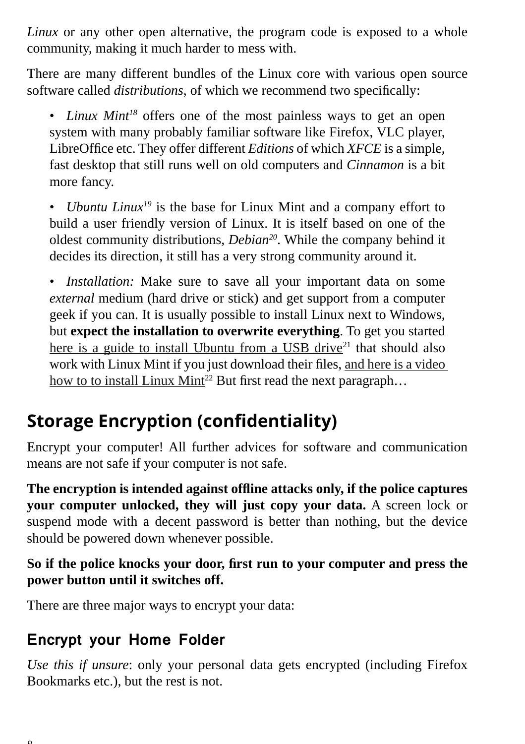*Linux* or any other open alternative, the program code is exposed to a whole community, making it much harder to mess with.

There are many different bundles of the Linux core with various open source software called *distributions*, of which we recommend two specifically:

• *Linux Mint<sup>18</sup>* offers one of the most painless ways to get an open system with many probably familiar software like Firefox, VLC player, LibreOffice etc. They offer different *Editions* of which *XFCE* is a simple, fast desktop that still runs well on old computers and *Cinnamon* is a bit more fancy.

• *Ubuntu Linux19* is the base for Linux Mint and a company effort to build a user friendly version of Linux. It is itself based on one of the oldest community distributions, *Debian20*. While the company behind it decides its direction, it still has a very strong community around it.

• *Installation:* Make sure to save all your important data on some *external* medium (hard drive or stick) and get support from a computer geek if you can. It is usually possible to install Linux next to Windows, but **expect the installation to overwrite everything**. To get you started here is a guide to install Ubuntu from a USB drive $21$  that should also work with Linux Mint if you just download their files, and here is a video how to to install Linux Mint<sup>22</sup> But first read the next paragraph...

# **Storage Encryption (confidentiality)**

Encrypt your computer! All further advices for software and communication means are not safe if your computer is not safe.

**The encryption is intended against offl ine attacks only, if the police captures your computer unlocked, they will just copy your data.** A screen lock or suspend mode with a decent password is better than nothing, but the device should be powered down whenever possible.

#### So if the police knocks your door, first run to your computer and press the **power button until it switches off.**

There are three major ways to encrypt your data:

#### **Encrypt your Home Folder**

*Use this if unsure*: only your personal data gets encrypted (including Firefox Bookmarks etc.), but the rest is not.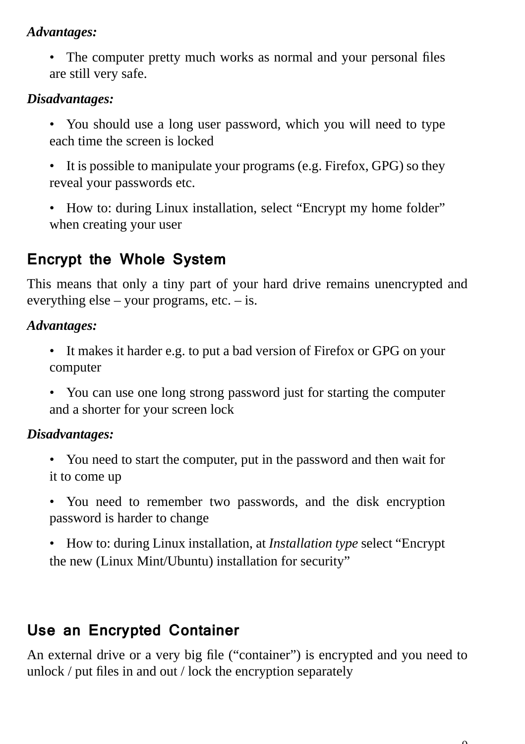#### *Advantages:*

• The computer pretty much works as normal and your personal files are still very safe.

#### *Disadvantages:*

- You should use a long user password, which you will need to type each time the screen is locked
- It is possible to manipulate your programs (e.g. Firefox, GPG) so they reveal your passwords etc.
- How to: during Linux installation, select "Encrypt my home folder" when creating your user

#### **Encrypt the Whole System**

This means that only a tiny part of your hard drive remains unencrypted and everything else – your programs, etc. – is.

#### *Advantages:*

- It makes it harder e.g. to put a bad version of Firefox or GPG on your computer
- You can use one long strong password just for starting the computer and a shorter for your screen lock

#### *Disadvantages:*

- You need to start the computer, put in the password and then wait for it to come up
- You need to remember two passwords, and the disk encryption password is harder to change
- How to: during Linux installation, at *Installation type* select "Encrypt the new (Linux Mint/Ubuntu) installation for security"

#### **Use an Encrypted Container**

An external drive or a very big file ("container") is encrypted and you need to unlock  $/$  put files in and out  $/$  lock the encryption separately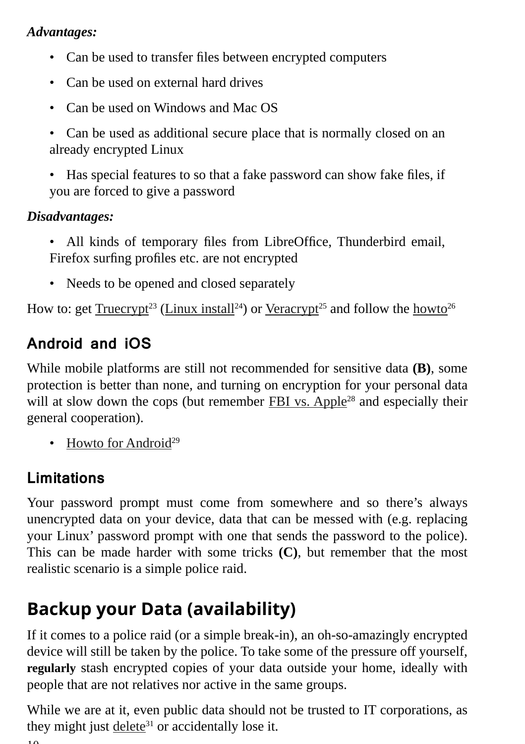#### *Advantages:*

- Can be used to transfer files between encrypted computers
- Can be used on external hard drives
- Can be used on Windows and Mac OS
- Can be used as additional secure place that is normally closed on an already encrypted Linux
- Has special features to so that a fake password can show fake files, if you are forced to give a password

#### *Disadvantages:*

- All kinds of temporary files from LibreOffice, Thunderbird email, Firefox surfing profiles etc. are not encrypted
- Needs to be opened and closed separately

How to: get Truecrypt<sup>23</sup> (Linux install<sup>24</sup>) or Veracrypt<sup>25</sup> and follow the howto<sup>26</sup>

#### **Android and iOS**

While mobile platforms are still not recommended for sensitive data **(B)**, some protection is better than none, and turning on encryption for your personal data will at slow down the cops (but remember FBI vs. Apple<sup>28</sup> and especially their general cooperation).

• Howto for Android<sup>29</sup>

#### **Limitations**

Your password prompt must come from somewhere and so there's always unencrypted data on your device, data that can be messed with (e.g. replacing your Linux' password prompt with one that sends the password to the police). This can be made harder with some tricks **(C)**, but remember that the most realistic scenario is a simple police raid.

# **Backup your Data (availability)**

If it comes to a police raid (or a simple break-in), an oh-so-amazingly encrypted device will still be taken by the police. To take some of the pressure off yourself, **regularly** stash encrypted copies of your data outside your home, ideally with people that are not relatives nor active in the same groups.

While we are at it, even public data should not be trusted to IT corporations, as they might just  $delete<sup>31</sup>$  or accidentally lose it.</u>

 $1<sub>0</sub>$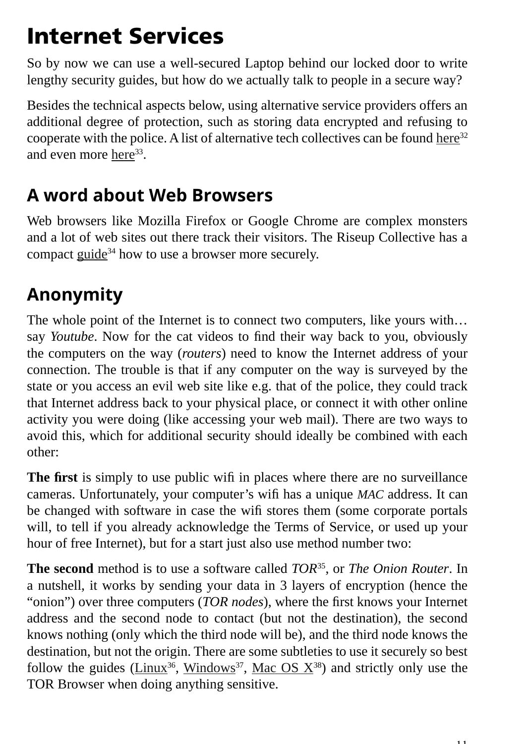# Internet Services

So by now we can use a well-secured Laptop behind our locked door to write lengthy security guides, but how do we actually talk to people in a secure way?

Besides the technical aspects below, using alternative service providers offers an additional degree of protection, such as storing data encrypted and refusing to cooperate with the police. A list of alternative tech collectives can be found here $32$ and even more here<sup>33</sup>.

### **A word about Web Browsers**

Web browsers like Mozilla Firefox or Google Chrome are complex monsters and a lot of web sites out there track their visitors. The Riseup Collective has a compact guide<sup>34</sup> how to use a browser more securely.

# **Anonymity**

The whole point of the Internet is to connect two computers, like yours with… say *Youtube*. Now for the cat videos to find their way back to you, obviously the computers on the way (*routers*) need to know the Internet address of your connection. The trouble is that if any computer on the way is surveyed by the state or you access an evil web site like e.g. that of the police, they could track that Internet address back to your physical place, or connect it with other online activity you were doing (like accessing your web mail). There are two ways to avoid this, which for additional security should ideally be combined with each other:

The first is simply to use public wifi in places where there are no surveillance cameras. Unfortunately, your computer's wifi has a unique *MAC* address. It can be changed with software in case the wifi stores them (some corporate portals will, to tell if you already acknowledge the Terms of Service, or used up your hour of free Internet), but for a start just also use method number two:

**The second** method is to use a software called *TOR*35, or *The Onion Router*. In a nutshell, it works by sending your data in 3 layers of encryption (hence the "onion") over three computers (*TOR nodes*), where the first knows your Internet address and the second node to contact (but not the destination), the second knows nothing (only which the third node will be), and the third node knows the destination, but not the origin. There are some subtleties to use it securely so best follow the guides (Linux<sup>36</sup>, Windows<sup>37</sup>, Mac OS  $X^{38}$ ) and strictly only use the TOR Browser when doing anything sensitive.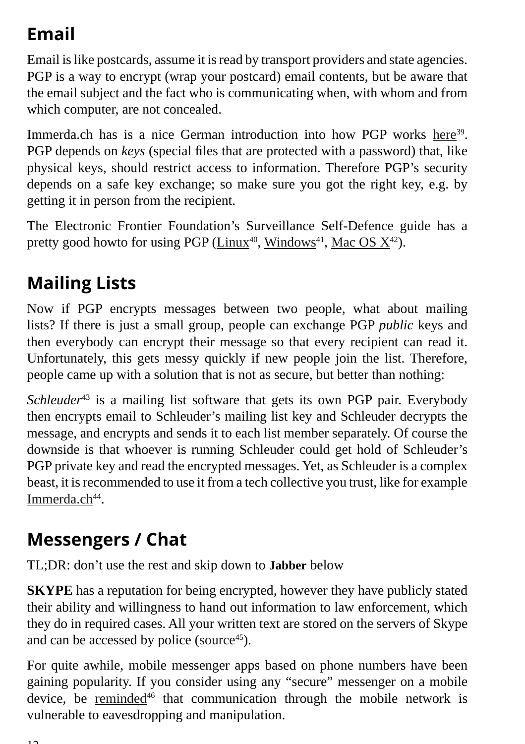# **Email**

Email is like postcards, assume it is read by transport providers and state agencies. PGP is a way to encrypt (wrap your postcard) email contents, but be aware that the email subject and the fact who is communicating when, with whom and from which computer, are not concealed.

Immerda.ch has is a nice German introduction into how PGP works here<sup>39</sup>. PGP depends on *keys* (special files that are protected with a password) that, like physical keys, should restrict access to information. Therefore PGP's security depends on a safe key exchange; so make sure you got the right key, e.g. by getting it in person from the recipient.

The Electronic Frontier Foundation's Surveillance Self-Defence guide has a pretty good howto for using PGP (Linux<sup>40</sup>, Windows<sup>41</sup>, Mac OS  $X^{42}$ ).

# **Mailing Lists**

Now if PGP encrypts messages between two people, what about mailing lists? If there is just a small group, people can exchange PGP *public* keys and then everybody can encrypt their message so that every recipient can read it. Unfortunately, this gets messy quickly if new people join the list. Therefore, people came up with a solution that is not as secure, but better than nothing:

*Schleuder*<sup>43</sup> is a mailing list software that gets its own PGP pair. Everybody then encrypts email to Schleuder's mailing list key and Schleuder decrypts the message, and encrypts and sends it to each list member separately. Of course the downside is that whoever is running Schleuder could get hold of Schleuder's PGP private key and read the encrypted messages. Yet, as Schleuder is a complex beast, it is recommended to use it from a tech collective you trust, like for example Immerda.ch<sup>44</sup>.

# **Messengers / Chat**

TL;DR: don't use the rest and skip down to **Jabber** below

**SKYPE** has a reputation for being encrypted, however they have publicly stated their ability and willingness to hand out information to law enforcement, which they do in required cases. All your written text are stored on the servers of Skype and can be accessed by police ( $\text{source}^{45}$ ).

For quite awhile, mobile messenger apps based on phone numbers have been gaining popularity. If you consider using any "secure" messenger on a mobile device, be reminded<sup>46</sup> that communication through the mobile network is vulnerable to eavesdropping and manipulation.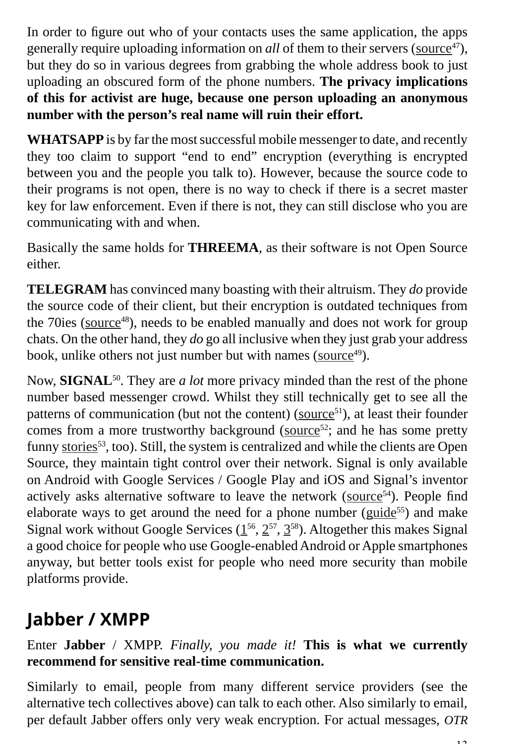In order to figure out who of your contacts uses the same application, the apps generally require uploading information on *all* of them to their servers (source<sup>47</sup>), but they do so in various degrees from grabbing the whole address book to just uploading an obscured form of the phone numbers. **The privacy implications of this for activist are huge, because one person uploading an anonymous number with the person's real name will ruin their effort.**

**WHATSAPP** is by far the most successful mobile messenger to date, and recently they too claim to support "end to end" encryption (everything is encrypted between you and the people you talk to). However, because the source code to their programs is not open, there is no way to check if there is a secret master key for law enforcement. Even if there is not, they can still disclose who you are communicating with and when.

Basically the same holds for **THREEMA**, as their software is not Open Source either.

**TELEGRAM** has convinced many boasting with their altruism. They *do* provide the source code of their client, but their encryption is outdated techniques from the 70ies (source<sup>48</sup>), needs to be enabled manually and does not work for group chats. On the other hand, they *do* go all inclusive when they just grab your address book, unlike others not just number but with names (source<sup>49</sup>).

Now, **SIGNAL**50. They are *a lot* more privacy minded than the rest of the phone number based messenger crowd. Whilst they still technically get to see all the patterns of communication (but not the content) (source<sup>51</sup>), at least their founder comes from a more trustworthy background (source<sup>52</sup>; and he has some pretty funny stories<sup>53</sup>, too). Still, the system is centralized and while the clients are Open Source, they maintain tight control over their network. Signal is only available on Android with Google Services / Google Play and iOS and Signal's inventor actively asks alternative software to leave the network (source $54$ ). People find elaborate ways to get around the need for a phone number (guide $55$ ) and make Signal work without Google Services  $(1^{56}, 2^{57}, 3^{58})$ . Altogether this makes Signal a good choice for people who use Google-enabled Android or Apple smartphones anyway, but better tools exist for people who need more security than mobile platforms provide.

# **Jabber / XMPP**

Enter **Jabber** / XMPP. *Finally, you made it!* **This is what we currently recommend for sensitive real-time communication.**

Similarly to email, people from many different service providers (see the alternative tech collectives above) can talk to each other. Also similarly to email, per default Jabber offers only very weak encryption. For actual messages, *OTR*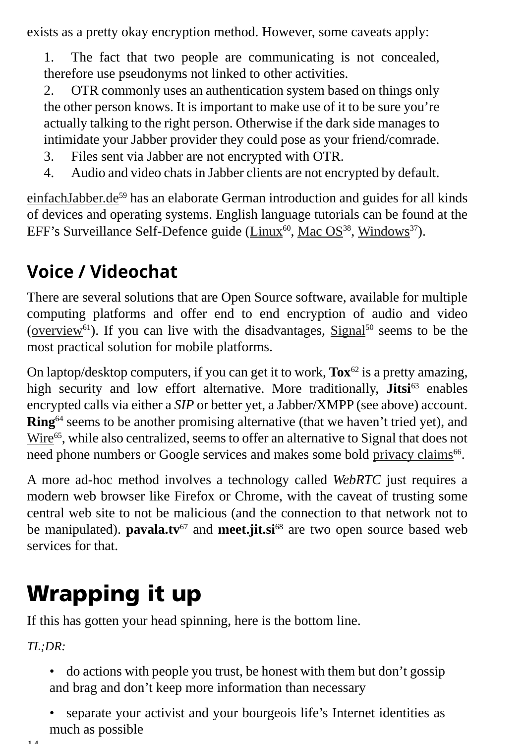exists as a pretty okay encryption method. However, some caveats apply:

1. The fact that two people are communicating is not concealed, therefore use pseudonyms not linked to other activities.

2. OTR commonly uses an authentication system based on things only the other person knows. It is important to make use of it to be sure you're actually talking to the right person. Otherwise if the dark side manages to intimidate your Jabber provider they could pose as your friend/comrade.

- 3. Files sent via Jabber are not encrypted with OTR.
- 4. Audio and video chats in Jabber clients are not encrypted by default.

einfachJabber.de<sup>59</sup> has an elaborate German introduction and guides for all kinds of devices and operating systems. English language tutorials can be found at the EFF's Surveillance Self-Defence guide (Linux $^{60}$ , Mac OS $^{38}$ , Windows $^{37}$ ).

# **Voice / Videochat**

There are several solutions that are Open Source software, available for multiple computing platforms and offer end to end encryption of audio and video (overview<sup>61</sup>). If you can live with the disadvantages,  $Signal^{50}$  seems to be the most practical solution for mobile platforms.

On laptop/desktop computers, if you can get it to work, **Tox**62 is a pretty amazing, high security and low effort alternative. More traditionally, **Jitsi**<sup>63</sup> enables encrypted calls via either a *SIP* or better yet, a Jabber/XMPP (see above) account. **Ring**64 seems to be another promising alternative (that we haven't tried yet), and Wire<sup>65</sup>, while also centralized, seems to offer an alternative to Signal that does not need phone numbers or Google services and makes some bold privacy claims<sup>66</sup>.

A more ad-hoc method involves a technology called *WebRTC* just requires a modern web browser like Firefox or Chrome, with the caveat of trusting some central web site to not be malicious (and the connection to that network not to be manipulated). **pavala.tv**<sup>67</sup> and **meet.jit.si**<sup>68</sup> are two open source based web services for that.

# Wrapping it up

If this has gotten your head spinning, here is the bottom line.

*TL;DR:*

- do actions with people you trust, be honest with them but don't gossip and brag and don't keep more information than necessary
- separate your activist and your bourgeois life's Internet identities as much as possible

```
14
```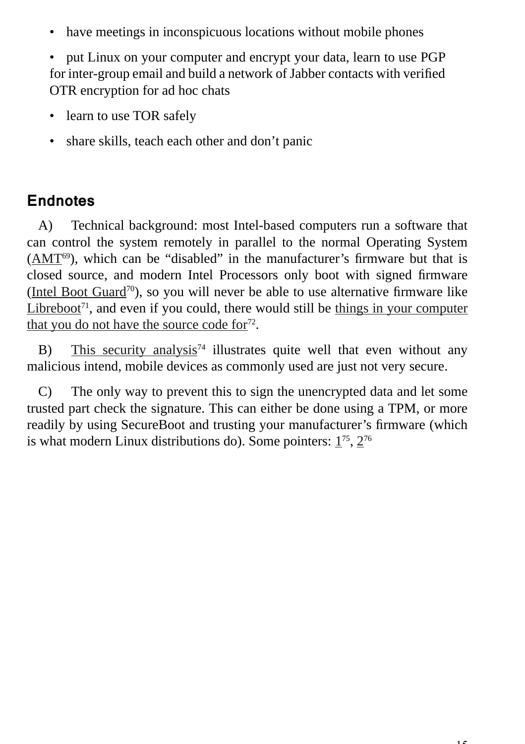• have meetings in inconspicuous locations without mobile phones

• put Linux on your computer and encrypt your data, learn to use PGP for inter-group email and build a network of Jabber contacts with verified OTR encryption for ad hoc chats

- learn to use TOR safely
- share skills, teach each other and don't panic

#### **Endnotes**

A) Technical background: most Intel-based computers run a software that can control the system remotely in parallel to the normal Operating System  $(AMT<sup>69</sup>)$ , which can be "disabled" in the manufacturer's firmware but that is closed source, and modern Intel Processors only boot with signed firmware (Intel Boot Guard<sup>70</sup>), so you will never be able to use alternative firmware like Libreboot<sup> $71$ </sup>, and even if you could, there would still be things in your computer that you do not have the source code  $for<sup>72</sup>$ .

B) This security analysis<sup>74</sup> illustrates quite well that even without any malicious intend, mobile devices as commonly used are just not very secure.

C) The only way to prevent this to sign the unencrypted data and let some trusted part check the signature. This can either be done using a TPM, or more readily by using SecureBoot and trusting your manufacturer's firmware (which is what modern Linux distributions do). Some pointers:  $1^{75}$ ,  $2^{76}$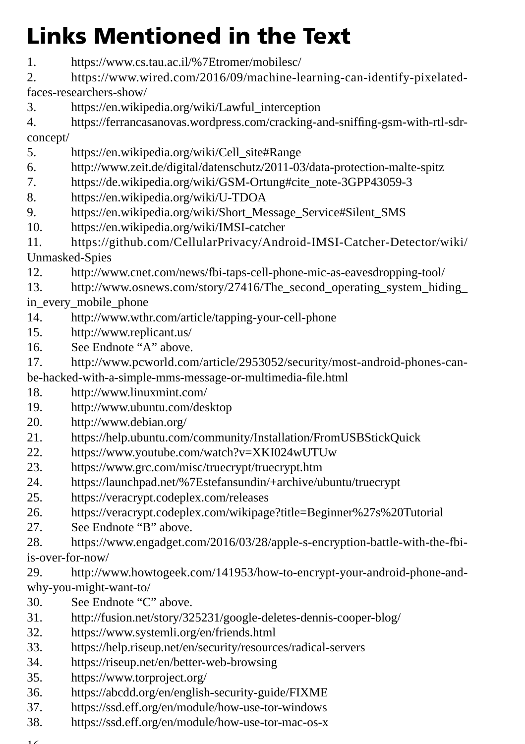# Links Mentioned in the Text

- 1. https://www.cs.tau.ac.il/%7Etromer/mobilesc/
- 2. https://www.wired.com/2016/09/machine-learning-can-identify-pixelatedfaces-researchers-show/
- 3. https://en.wikipedia.org/wiki/Lawful\_interception
- 4. https://ferrancasanovas.wordpress.com/cracking-and-sniffing-gsm-with-rtl-sdrconcept/
- 5. https://en.wikipedia.org/wiki/Cell\_site#Range
- 6. http://www.zeit.de/digital/datenschutz/2011-03/data-protection-malte-spitz
- 7. https://de.wikipedia.org/wiki/GSM-Ortung#cite\_note-3GPP43059-3
- 8. https://en.wikipedia.org/wiki/U-TDOA
- 9. https://en.wikipedia.org/wiki/Short\_Message\_Service#Silent\_SMS
- 10. https://en.wikipedia.org/wiki/IMSI-catcher
- 11. https://github.com/CellularPrivacy/Android-IMSI-Catcher-Detector/wiki/ Unmasked-Spies
- 12. http://www.cnet.com/news/fbi-taps-cell-phone-mic-as-eavesdropping-tool/
- 13. http://www.osnews.com/story/27416/The\_second\_operating\_system\_hiding\_ in every mobile phone
- 14. http://www.wthr.com/article/tapping-your-cell-phone
- 15. http://www.replicant.us/
- 16. See Endnote "A" above.
- 17. http://www.pcworld.com/article/2953052/security/most-android-phones-canbe-hacked-with-a-simple-mms-message-or-multimedia-file.html
- 18. http://www.linuxmint.com/
- 19. http://www.ubuntu.com/desktop
- 20. http://www.debian.org/
- 21. https://help.ubuntu.com/community/Installation/FromUSBStickQuick
- 22. https://www.youtube.com/watch?v=XKI024wUTUw
- 23. https://www.grc.com/misc/truecrypt/truecrypt.htm
- 24. https://launchpad.net/%7Estefansundin/+archive/ubuntu/truecrypt
- 25. https://veracrypt.codeplex.com/releases
- 26. https://veracrypt.codeplex.com/wikipage?title=Beginner%27s%20Tutorial
- 27. See Endnote "B" above.
- 28. https://www.engadget.com/2016/03/28/apple-s-encryption-battle-with-the-fbiis-over-for-now/
- 29. http://www.howtogeek.com/141953/how-to-encrypt-your-android-phone-andwhy-you-might-want-to/
- 30. See Endnote "C" above.
- 31. http://fusion.net/story/325231/google-deletes-dennis-cooper-blog/
- 32. https://www.systemli.org/en/friends.html
- 33. https://help.riseup.net/en/security/resources/radical-servers
- 34. https://riseup.net/en/better-web-browsing
- 35. https://www.torproject.org/
- 36. https://abcdd.org/en/english-security-guide/FIXME
- 37. https://ssd.eff.org/en/module/how-use-tor-windows
- 38. https://ssd.eff.org/en/module/how-use-tor-mac-os-x
- $\sim$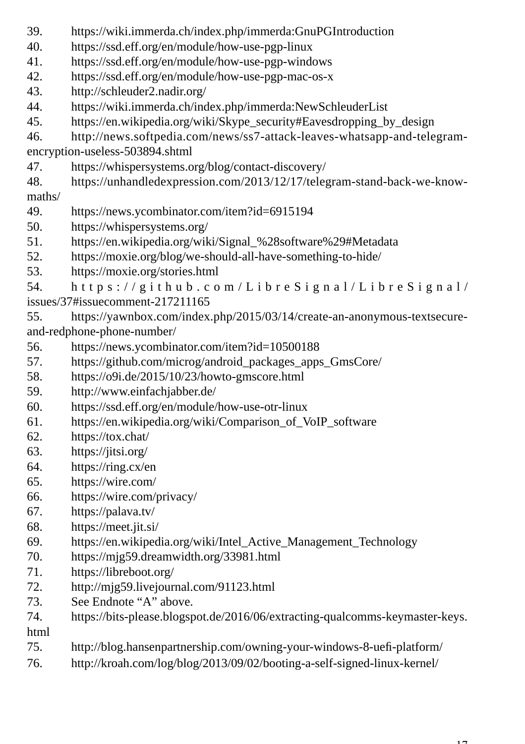- 39. https://wiki.immerda.ch/index.php/immerda:GnuPGIntroduction
- 40. https://ssd.eff.org/en/module/how-use-pgp-linux
- 41. https://ssd.eff.org/en/module/how-use-pgp-windows
- 42. https://ssd.eff.org/en/module/how-use-pgp-mac-os-x
- 43. http://schleuder2.nadir.org/
- 44. https://wiki.immerda.ch/index.php/immerda:NewSchleuderList
- 45. https://en.wikipedia.org/wiki/Skype\_security#Eavesdropping\_by\_design
- 46. http://news.softpedia.com/news/ss7-attack-leaves-whatsapp-and-telegramencryption-useless-503894.shtml
- 47. https://whispersystems.org/blog/contact-discovery/
- 48. https://unhandledexpression.com/2013/12/17/telegram-stand-back-we-knowmaths/
- 49. https://news.ycombinator.com/item?id=6915194
- 50. https://whispersystems.org/
- 51. https://en.wikipedia.org/wiki/Signal\_%28software%29#Metadata
- 52. https://moxie.org/blog/we-should-all-have-something-to-hide/
- 53. https://moxie.org/stories.html

54. https://github.com/LibreSignal/LibreSignal/ issues/37#issuecomment-217211165

55. https://yawnbox.com/index.php/2015/03/14/create-an-anonymous-textsecureand-redphone-phone-number/

- 56. https://news.ycombinator.com/item?id=10500188
- 57. https://github.com/microg/android\_packages\_apps\_GmsCore/
- 58. https://o9i.de/2015/10/23/howto-gmscore.html
- 59. http://www.einfachjabber.de/
- 60. https://ssd.eff.org/en/module/how-use-otr-linux
- 61. https://en.wikipedia.org/wiki/Comparison\_of\_VoIP\_software
- 62. https://tox.chat/
- 63. https://jitsi.org/
- 64. https://ring.cx/en
- 65. https://wire.com/
- 66. https://wire.com/privacy/
- 67. https://palava.tv/
- 68. https://meet.jit.si/
- 69. https://en.wikipedia.org/wiki/Intel\_Active\_Management\_Technology
- 70. https://mjg59.dreamwidth.org/33981.html
- 71. https://libreboot.org/
- 72. http://mjg59.livejournal.com/91123.html
- 73. See Endnote "A" above.
- 74. https://bits-please.blogspot.de/2016/06/extracting-qualcomms-keymaster-keys. html
- 75. http://blog.hansenpartnership.com/owning-your-windows-8-uefi -platform/
- 76. http://kroah.com/log/blog/2013/09/02/booting-a-self-signed-linux-kernel/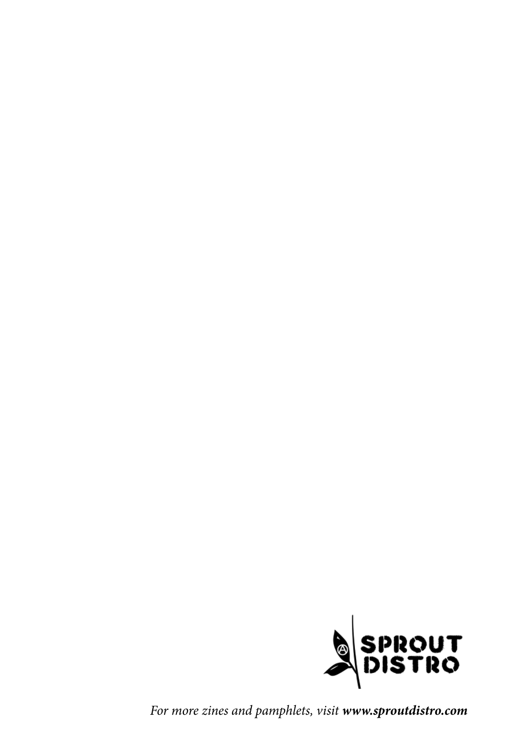

For more zines and pamphlets, visit **www.sproutdistro.com**